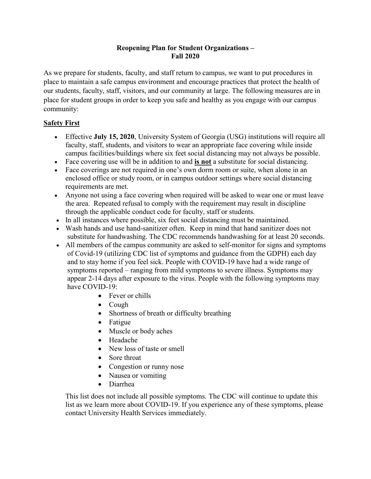#### **Reopening Plan for Student Organizations – Fall 2020**

As we prepare for students, faculty, and staff return to campus, we want to put procedures in place to maintain a safe campus environment and encourage practices that protect the health of our students, faculty, staff, visitors, and our community at large. The following measures are in place for student groups in order to keep you safe and healthy as you engage with our campus community:

# **Safety First**

- Effective **July 15, 2020**, University System of Georgia (USG) institutions will require all faculty, staff, students, and visitors to wear an appropriate face covering while inside campus facilities/buildings where six feet social distancing may not always be possible.
- Face covering use will be in addition to and **is not** a substitute for social distancing.
- Face coverings are not required in one's own dorm room or suite, when alone in an enclosed office or study room, or in campus outdoor settings where social distancing requirements are met.
- Anyone not using a face covering when required will be asked to wear one or must leave the area. Repeated refusal to comply with the requirement may result in discipline through the applicable conduct code for faculty, staff or students.
- In all instances where possible, six feet social distancing must be maintained.
- Wash hands and use hand-sanitizer often. Keep in mind that hand sanitizer does not substitute for handwashing. The CDC recommends handwashing for at least 20 seconds.
- All members of the campus community are asked to self-monitor for signs and symptoms of Covid-19 (utilizing CDC list of symptoms and guidance from the GDPH) each day and to stay home if you feel sick. People with COVID-19 have had a wide range of symptoms reported – ranging from mild symptoms to severe illness. Symptoms may appear 2-14 days after exposure to the virus. People with the following symptoms may have COVID-19:
	- Fever or chills
	- Cough
	- Shortness of breath or difficulty breathing
	- Fatigue
	- Muscle or body aches
	- Headache
	- New loss of taste or smell
	- Sore throat
	- Congestion or runny nose
	- Nausea or vomiting
	- Diarrhea

This list does not include all possible symptoms. The CDC will continue to update this list as we learn more about COVID-19. If you experience any of these symptoms, please contact University Health Services immediately.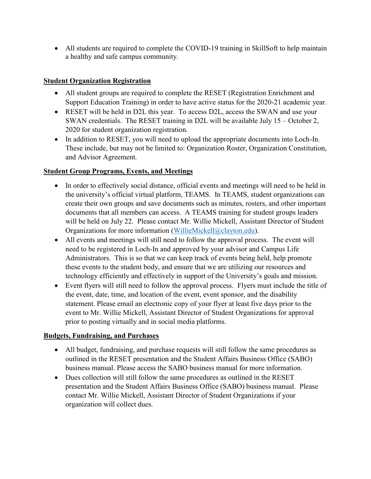All students are required to complete the COVID-19 training in SkillSoft to help maintain a healthy and safe campus community.

## **Student Organization Registration**

- All student groups are required to complete the RESET (Registration Enrichment and Support Education Training) in order to have active status for the 2020-21 academic year.
- RESET will be held in D2L this year. To access D2L, access the SWAN and use your SWAN credentials. The RESET training in D2L will be available July 15 – October 2, 2020 for student organization registration.
- In addition to RESET, you will need to upload the appropriate documents into Loch-In. These include, but may not be limited to: Organization Roster, Organization Constitution, and Advisor Agreement.

#### **Student Group Programs, Events, and Meetings**

- In order to effectively social distance, official events and meetings will need to be held in the university's official virtual platform, TEAMS. In TEAMS, student organizations can create their own groups and save documents such as minutes, rosters, and other important documents that all members can access. A TEAMS training for student groups leaders will be held on July 22. Please contact Mr. Willie Mickell, Assistant Director of Student Organizations for more information [\(WillieMickell@clayton.edu\)](mailto:WillieMickell@clayton.edu).
- All events and meetings will still need to follow the approval process. The event will need to be registered in Loch-In and approved by your advisor and Campus Life Administrators. This is so that we can keep track of events being held, help promote these events to the student body, and ensure that we are utilizing our resources and technology efficiently and effectively in support of the University's goals and mission.
- Event flyers will still need to follow the approval process. Flyers must include the title of the event, date, time, and location of the event, event sponsor, and the disability statement. Please email an electronic copy of your flyer at least five days prior to the event to Mr. Willie Mickell, Assistant Director of Student Organizations for approval prior to posting virtually and in social media platforms.

## **Budgets, Fundraising, and Purchases**

- All budget, fundraising, and purchase requests will still follow the same procedures as outlined in the RESET presentation and the Student Affairs Business Office (SABO) business manual. Please access the SABO business manual for more information.
- Dues collection will still follow the same procedures as outlined in the RESET presentation and the Student Affairs Business Office (SABO) business manual. Please contact Mr. Willie Mickell, Assistant Director of Student Organizations if your organization will collect dues.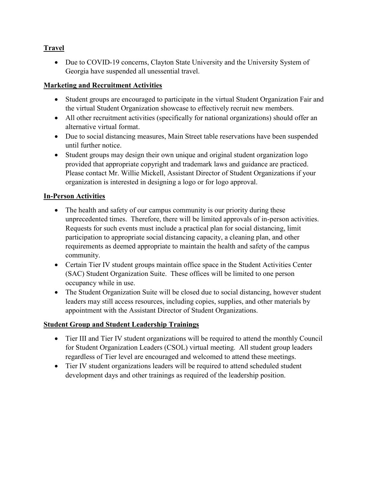## **Travel**

 Due to COVID-19 concerns, Clayton State University and the University System of Georgia have suspended all unessential travel.

#### **Marketing and Recruitment Activities**

- Student groups are encouraged to participate in the virtual Student Organization Fair and the virtual Student Organization showcase to effectively recruit new members.
- All other recruitment activities (specifically for national organizations) should offer an alternative virtual format.
- Due to social distancing measures, Main Street table reservations have been suspended until further notice.
- Student groups may design their own unique and original student organization logo provided that appropriate copyright and trademark laws and guidance are practiced. Please contact Mr. Willie Mickell, Assistant Director of Student Organizations if your organization is interested in designing a logo or for logo approval.

#### **In-Person Activities**

- The health and safety of our campus community is our priority during these unprecedented times. Therefore, there will be limited approvals of in-person activities. Requests for such events must include a practical plan for social distancing, limit participation to appropriate social distancing capacity, a cleaning plan, and other requirements as deemed appropriate to maintain the health and safety of the campus community.
- Certain Tier IV student groups maintain office space in the Student Activities Center (SAC) Student Organization Suite. These offices will be limited to one person occupancy while in use.
- The Student Organization Suite will be closed due to social distancing, however student leaders may still access resources, including copies, supplies, and other materials by appointment with the Assistant Director of Student Organizations.

## **Student Group and Student Leadership Trainings**

- Tier III and Tier IV student organizations will be required to attend the monthly Council for Student Organization Leaders (CSOL) virtual meeting. All student group leaders regardless of Tier level are encouraged and welcomed to attend these meetings.
- Tier IV student organizations leaders will be required to attend scheduled student development days and other trainings as required of the leadership position.